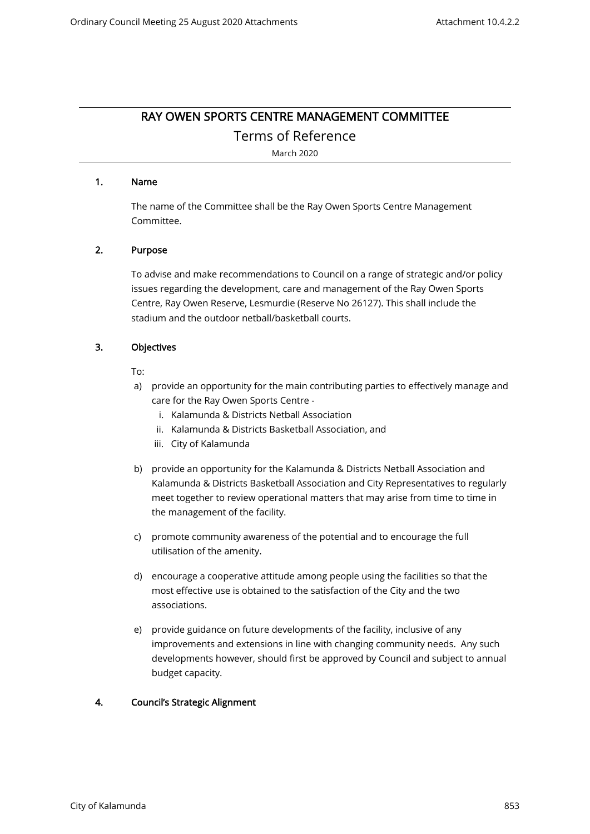# RAY OWEN SPORTS CENTRE MANAGEMENT COMMITTEE

Terms of Reference

March 2020

#### 1. Name

The name of the Committee shall be the Ray Owen Sports Centre Management Committee.

# 2. Purpose

To advise and make recommendations to Council on a range of strategic and/or policy issues regarding the development, care and management of the Ray Owen Sports Centre, Ray Owen Reserve, Lesmurdie (Reserve No 26127). This shall include the stadium and the outdoor netball/basketball courts.

# 3. Objectives

To:

- a) provide an opportunity for the main contributing parties to effectively manage and care for the Ray Owen Sports Centre
	- i. Kalamunda & Districts Netball Association
	- ii. Kalamunda & Districts Basketball Association, and
	- iii. City of Kalamunda
- b) provide an opportunity for the Kalamunda & Districts Netball Association and Kalamunda & Districts Basketball Association and City Representatives to regularly meet together to review operational matters that may arise from time to time in the management of the facility.
- c) promote community awareness of the potential and to encourage the full utilisation of the amenity.
- d) encourage a cooperative attitude among people using the facilities so that the most effective use is obtained to the satisfaction of the City and the two associations.
- e) provide guidance on future developments of the facility, inclusive of any improvements and extensions in line with changing community needs. Any such developments however, should first be approved by Council and subject to annual budget capacity.

# 4. Council's Strategic Alignment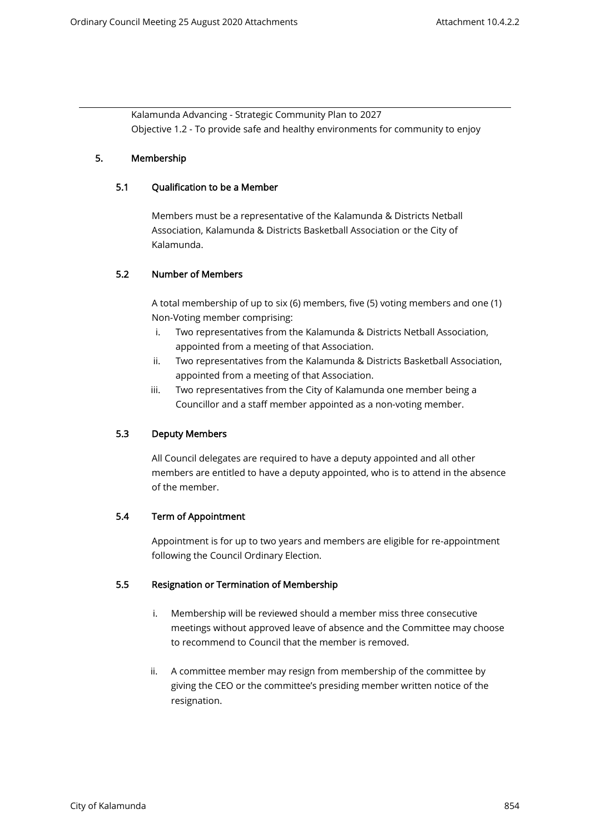Kalamunda Advancing - Strategic Community Plan to 2027 Objective 1.2 - To provide safe and healthy environments for community to enjoy

# 5. Membership

#### 5.1 Qualification to be a Member

Members must be a representative of the Kalamunda & Districts Netball Association, Kalamunda & Districts Basketball Association or the City of Kalamunda.

# 5.2 Number of Members

 A total membership of up to six (6) members, five (5) voting members and one (1) Non-Voting member comprising:

- i. Two representatives from the Kalamunda & Districts Netball Association, appointed from a meeting of that Association.
- ii. Two representatives from the Kalamunda & Districts Basketball Association, appointed from a meeting of that Association.
- iii. Two representatives from the City of Kalamunda one member being a Councillor and a staff member appointed as a non-voting member.

# 5.3 Deputy Members

All Council delegates are required to have a deputy appointed and all other members are entitled to have a deputy appointed, who is to attend in the absence of the member.

#### 5.4 Term of Appointment

 Appointment is for up to two years and members are eligible for re-appointment following the Council Ordinary Election.

#### 5.5 Resignation or Termination of Membership

- i. Membership will be reviewed should a member miss three consecutive meetings without approved leave of absence and the Committee may choose to recommend to Council that the member is removed.
- ii. A committee member may resign from membership of the committee by giving the CEO or the committee's presiding member written notice of the resignation.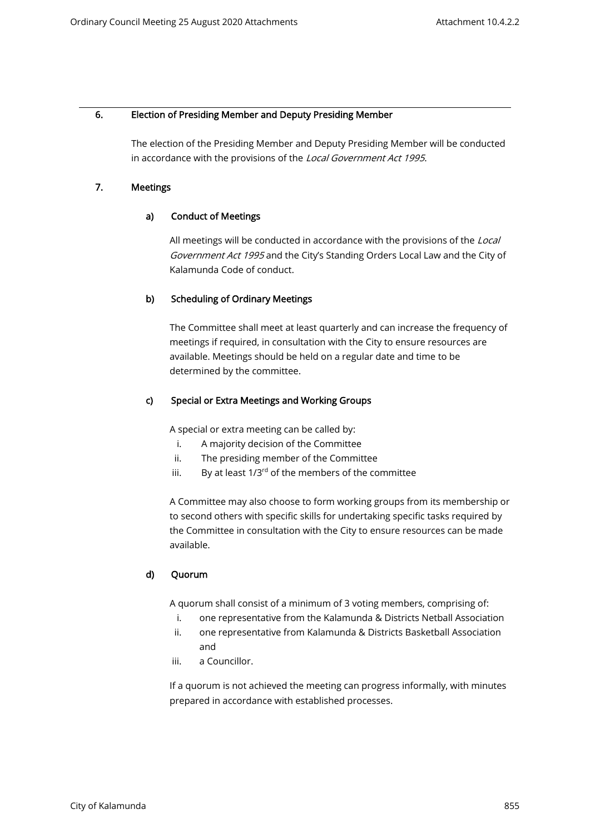#### 6. Election of Presiding Member and Deputy Presiding Member

The election of the Presiding Member and Deputy Presiding Member will be conducted in accordance with the provisions of the Local Government Act 1995.

# 7. Meetings

# a) Conduct of Meetings

All meetings will be conducted in accordance with the provisions of the Local Government Act 1995 and the City's Standing Orders Local Law and the City of Kalamunda Code of conduct.

# b) Scheduling of Ordinary Meetings

The Committee shall meet at least quarterly and can increase the frequency of meetings if required, in consultation with the City to ensure resources are available. Meetings should be held on a regular date and time to be determined by the committee.

# c) Special or Extra Meetings and Working Groups

A special or extra meeting can be called by:

- i. A majority decision of the Committee
- ii. The presiding member of the Committee
- iii. By at least  $1/3^{rd}$  of the members of the committee

A Committee may also choose to form working groups from its membership or to second others with specific skills for undertaking specific tasks required by the Committee in consultation with the City to ensure resources can be made available.

# d) Quorum

A quorum shall consist of a minimum of 3 voting members, comprising of:

- i. one representative from the Kalamunda & Districts Netball Association
- ii. one representative from Kalamunda & Districts Basketball Association and
- iii. a Councillor.

If a quorum is not achieved the meeting can progress informally, with minutes prepared in accordance with established processes.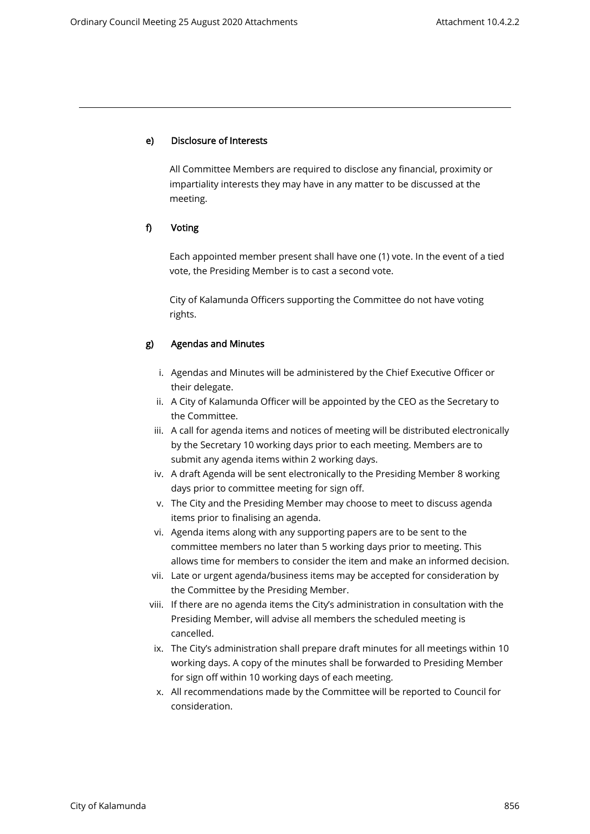#### e) Disclosure of Interests

All Committee Members are required to disclose any financial, proximity or impartiality interests they may have in any matter to be discussed at the meeting.

#### f) Voting

Each appointed member present shall have one (1) vote. In the event of a tied vote, the Presiding Member is to cast a second vote.

City of Kalamunda Officers supporting the Committee do not have voting rights.

#### g) Agendas and Minutes

- i. Agendas and Minutes will be administered by the Chief Executive Officer or their delegate.
- ii. A City of Kalamunda Officer will be appointed by the CEO as the Secretary to the Committee.
- iii. A call for agenda items and notices of meeting will be distributed electronically by the Secretary 10 working days prior to each meeting. Members are to submit any agenda items within 2 working days.
- iv. A draft Agenda will be sent electronically to the Presiding Member 8 working days prior to committee meeting for sign off.
- v. The City and the Presiding Member may choose to meet to discuss agenda items prior to finalising an agenda.
- vi. Agenda items along with any supporting papers are to be sent to the committee members no later than 5 working days prior to meeting. This allows time for members to consider the item and make an informed decision.
- vii. Late or urgent agenda/business items may be accepted for consideration by the Committee by the Presiding Member.
- viii. If there are no agenda items the City's administration in consultation with the Presiding Member, will advise all members the scheduled meeting is cancelled.
- ix. The City's administration shall prepare draft minutes for all meetings within 10 working days. A copy of the minutes shall be forwarded to Presiding Member for sign off within 10 working days of each meeting.
- x. All recommendations made by the Committee will be reported to Council for consideration.